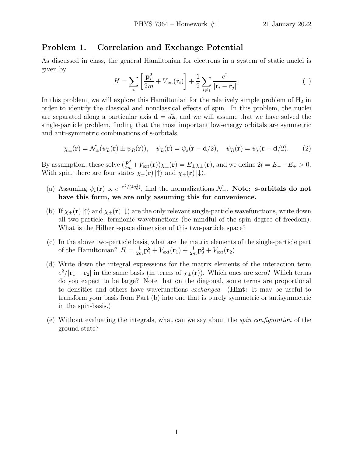## Problem 1. Correlation and Exchange Potential

As discussed in class, the general Hamiltonian for electrons in a system of static nuclei is given by

$$
H = \sum_{i} \left[ \frac{\mathbf{p}_i^2}{2m} + V_{\text{ext}}(\mathbf{r}_i) \right] + \frac{1}{2} \sum_{i \neq j} \frac{e^2}{|\mathbf{r}_i - \mathbf{r}_j|}. \tag{1}
$$

In this problem, we will explore this Hamiltonian for the relatively simple problem of  $H_2$  in order to identify the classical and nonclassical effects of spin. In this problem, the nuclei are separated along a particular axis  $\mathbf{d} = d\hat{\mathbf{z}}$ , and we will assume that we have solved the single-particle problem, finding that the most important low-energy orbitals are symmetric and anti-symmetric combinations of s-orbitals

$$
\chi_{\pm}(\mathbf{r}) = \mathcal{N}_{\pm}(\psi_L(\mathbf{r}) \pm \psi_R(\mathbf{r})), \quad \psi_L(\mathbf{r}) = \psi_s(\mathbf{r} - \mathbf{d}/2), \quad \psi_R(\mathbf{r}) = \psi_s(\mathbf{r} + \mathbf{d}/2). \tag{2}
$$

By assumption, these solve  $(\frac{\mathbf{p}^2}{2m} + V_{\text{ext}}(\mathbf{r}))\chi_{\pm}(\mathbf{r}) = E_{\pm}\chi_{\pm}(\mathbf{r})$ , and we define  $2t = E_{-} - E_{+} > 0$ . With spin, there are four states  $\chi_{\pm}(\mathbf{r})|\uparrow\rangle$  and  $\chi_{\pm}(\mathbf{r})|\downarrow\rangle$ .

- (a) Assuming  $\psi_s(\mathbf{r}) \propto e^{-\mathbf{r}^2/(4a_0^2)}$ , find the normalizations  $\mathcal{N}_\pm$ . Note: s-orbitals do not have this form, we are only assuming this for convenience.
- (b) If  $\chi_{\pm}(\mathbf{r})|\uparrow\rangle$  and  $\chi_{\pm}(\mathbf{r})|\downarrow\rangle$  are the only relevant single-particle wavefunctions, write down all two-particle, fermionic wavefunctions (be mindful of the spin degree of freedom). What is the Hilbert-space dimension of this two-particle space?
- (c) In the above two-particle basis, what are the matrix elements of the single-particle part of the Hamiltonian?  $H = \frac{1}{2r}$  $\frac{1}{2m} \mathbf{p}_1^2 + V_{\mathrm{ext}}(\mathbf{r}_1) + \frac{1}{2m} \mathbf{p}_2^2 + V_{\mathrm{ext}}(\mathbf{r}_2)$
- (d) Write down the integral expressions for the matrix elements of the interaction term  $e^2/|\mathbf{r}_1 - \mathbf{r}_2|$  in the same basis (in terms of  $\chi_{\pm}(\mathbf{r})$ ). Which ones are zero? Which terms do you expect to be large? Note that on the diagonal, some terms are proportional to densities and others have wavefunctions exchanged. (Hint: It may be useful to transform your basis from Part (b) into one that is purely symmetric or antisymmetric in the spin-basis.)
- (e) Without evaluating the integrals, what can we say about the spin configuration of the ground state?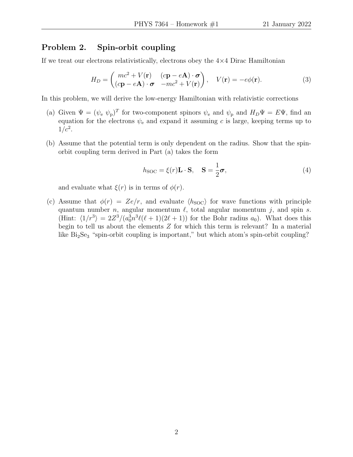## Problem 2. Spin-orbit coupling

If we treat our electrons relativistically, electrons obey the  $4\times 4$  Dirac Hamiltonian

$$
H_D = \begin{pmatrix} mc^2 + V(\mathbf{r}) & (c\mathbf{p} - e\mathbf{A}) \cdot \boldsymbol{\sigma} \\ (c\mathbf{p} - e\mathbf{A}) \cdot \boldsymbol{\sigma} & -mc^2 + V(\mathbf{r}) \end{pmatrix}, \quad V(\mathbf{r}) = -e\phi(\mathbf{r}). \tag{3}
$$

In this problem, we will derive the low-energy Hamiltonian with relativistic corrections

- (a) Given  $\Psi = (\psi_e \psi_p)^T$  for two-component spinors  $\psi_e$  and  $\psi_p$  and  $H_D \Psi = E \Psi$ , find an equation for the electrons  $\psi_e$  and expand it assuming c is large, keeping terms up to  $1/c^2$ .
- (b) Assume that the potential term is only dependent on the radius. Show that the spinorbit coupling term derived in Part (a) takes the form

$$
h_{\text{SOC}} = \xi(r)\mathbf{L} \cdot \mathbf{S}, \quad \mathbf{S} = \frac{1}{2}\boldsymbol{\sigma}, \tag{4}
$$

and evaluate what  $\xi(r)$  is in terms of  $\phi(r)$ .

(c) Assume that  $\phi(r) = Ze/r$ , and evaluate  $\langle h_{\text{SOC}} \rangle$  for wave functions with principle quantum number n, angular momentum  $\ell$ , total angular momentum j, and spin s. (Hint:  $\langle 1/r^3 \rangle = 2Z^3/(a_0^3 n^3 \ell(\ell+1)(2\ell+1))$  for the Bohr radius  $a_0$ ). What does this begin to tell us about the elements  $Z$  for which this term is relevant? In a material like  $Bi<sub>2</sub>Se<sub>3</sub>$  "spin-orbit coupling is important," but which atom's spin-orbit coupling?